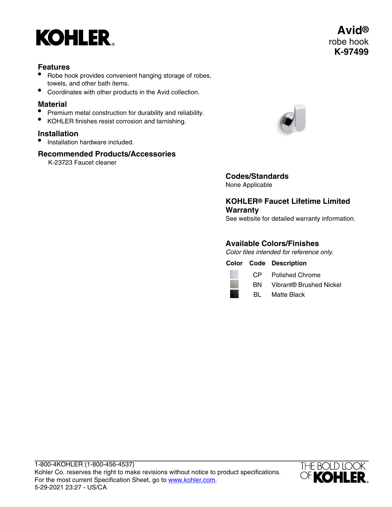

## **Features**

- Robe hook provides convenient hanging storage of robes, towels, and other bath items.
- Coordinates with other products in the Avid collection.

#### **Material**

- Premium metal construction for durability and reliability.
- KOHLER finishes resist corrosion and tarnishing.

## **Installation**

• Installation hardware included.

## **Recommended Products/Accessories**

K-23723 Faucet cleaner



**Codes/Standards** None Applicable

**KOHLER® Faucet Lifetime Limited Warranty**

See website for detailed warranty information.

## **Available Colors/Finishes**

Color tiles intended for reference only.

**Color Code Description**



CP Polished Chrome

BN Vibrant® Brushed Nickel

BL Matte Black